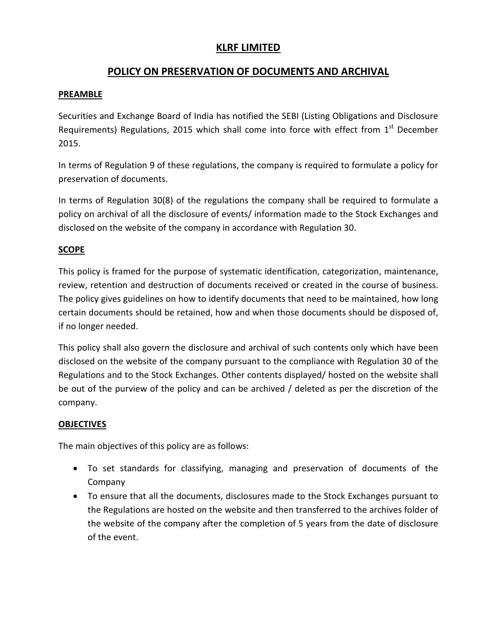## **KLRF LIMITED**

# **POLICY ON PRESERVATION OF DOCUMENTS AND ARCHIVAL**

### **PREAMBLE**

Securities and Exchange Board of India has notified the SEBI (Listing Obligations and Disclosure Requirements) Regulations, 2015 which shall come into force with effect from  $1<sup>st</sup>$  December 2015.

In terms of Regulation 9 of these regulations, the company is required to formulate a policy for preservation of documents.

In terms of Regulation 30(8) of the regulations the company shall be required to formulate a policy on archival of all the disclosure of events/ information made to the Stock Exchanges and disclosed on the website of the company in accordance with Regulation 30.

## **SCOPE**

This policy is framed for the purpose of systematic identification, categorization, maintenance, review, retention and destruction of documents received or created in the course of business. The policy gives guidelines on how to identify documents that need to be maintained, how long certain documents should be retained, how and when those documents should be disposed of, if no longer needed.

This policy shall also govern the disclosure and archival of such contents only which have been disclosed on the website of the company pursuant to the compliance with Regulation 30 of the Regulations and to the Stock Exchanges. Other contents displayed/ hosted on the website shall be out of the purview of the policy and can be archived / deleted as per the discretion of the company.

## **OBJECTIVES**

The main objectives of this policy are as follows:

- To set standards for classifying, managing and preservation of documents of the Company
- To ensure that all the documents, disclosures made to the Stock Exchanges pursuant to the Regulations are hosted on the website and then transferred to the archives folder of the website of the company after the completion of 5 years from the date of disclosure of the event.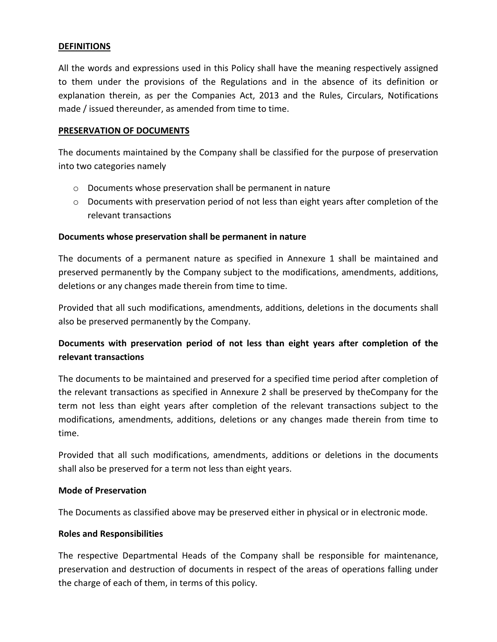#### **DEFINITIONS**

All the words and expressions used in this Policy shall have the meaning respectively assigned to them under the provisions of the Regulations and in the absence of its definition or explanation therein, as per the Companies Act, 2013 and the Rules, Circulars, Notifications made / issued thereunder, as amended from time to time.

#### **PRESERVATION OF DOCUMENTS**

The documents maintained by the Company shall be classified for the purpose of preservation into two categories namely

- o Documents whose preservation shall be permanent in nature
- $\circ$  Documents with preservation period of not less than eight years after completion of the relevant transactions

#### **Documents whose preservation shall be permanent in nature**

The documents of a permanent nature as specified in Annexure 1 shall be maintained and preserved permanently by the Company subject to the modifications, amendments, additions, deletions or any changes made therein from time to time.

Provided that all such modifications, amendments, additions, deletions in the documents shall also be preserved permanently by the Company.

## **Documents with preservation period of not less than eight years after completion of the relevant transactions**

The documents to be maintained and preserved for a specified time period after completion of the relevant transactions as specified in Annexure 2 shall be preserved by theCompany for the term not less than eight years after completion of the relevant transactions subject to the modifications, amendments, additions, deletions or any changes made therein from time to time.

Provided that all such modifications, amendments, additions or deletions in the documents shall also be preserved for a term not less than eight years.

#### **Mode of Preservation**

The Documents as classified above may be preserved either in physical or in electronic mode.

#### **Roles and Responsibilities**

The respective Departmental Heads of the Company shall be responsible for maintenance, preservation and destruction of documents in respect of the areas of operations falling under the charge of each of them, in terms of this policy.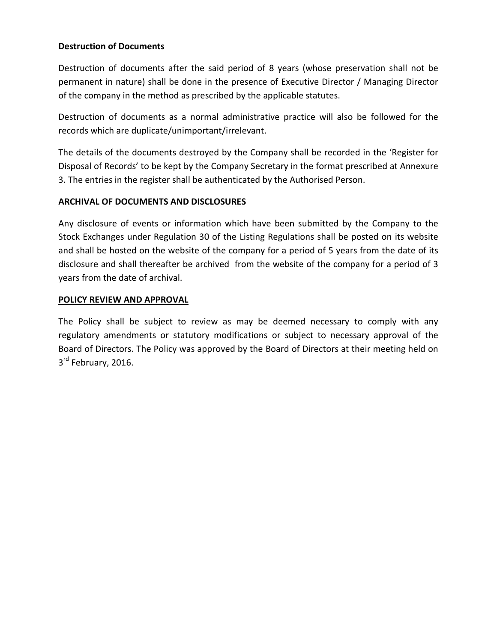#### **Destruction of Documents**

Destruction of documents after the said period of 8 years (whose preservation shall not be permanent in nature) shall be done in the presence of Executive Director / Managing Director of the company in the method as prescribed by the applicable statutes.

Destruction of documents as a normal administrative practice will also be followed for the records which are duplicate/unimportant/irrelevant.

The details of the documents destroyed by the Company shall be recorded in the 'Register for Disposal of Records' to be kept by the Company Secretary in the format prescribed at Annexure 3. The entries in the register shall be authenticated by the Authorised Person.

#### **ARCHIVAL OF DOCUMENTS AND DISCLOSURES**

Any disclosure of events or information which have been submitted by the Company to the Stock Exchanges under Regulation 30 of the Listing Regulations shall be posted on its website and shall be hosted on the website of the company for a period of 5 years from the date of its disclosure and shall thereafter be archived from the website of the company for a period of 3 years from the date of archival.

#### **POLICY REVIEW AND APPROVAL**

The Policy shall be subject to review as may be deemed necessary to comply with any regulatory amendments or statutory modifications or subject to necessary approval of the Board of Directors. The Policy was approved by the Board of Directors at their meeting held on 3<sup>rd</sup> February, 2016.